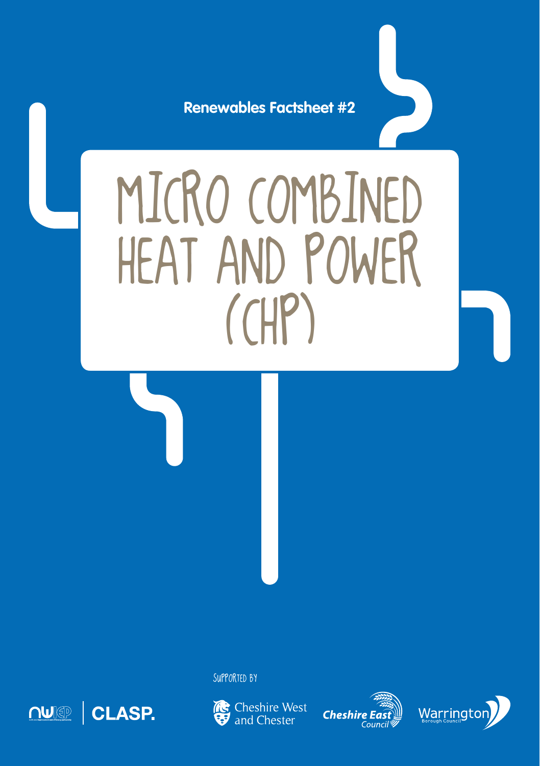**Renewables Factsheet #2**

# MICRO COMBINED Heat and Power  $(HP)$

SUPPORTED BY



**Re** Cheshire West and Chester

**Cheshire L** 

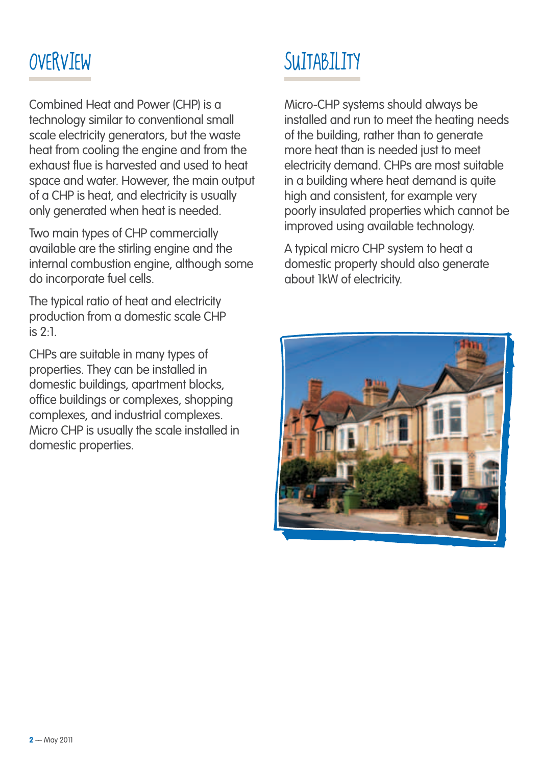Combined Heat and Power (CHP) is a technology similar to conventional small scale electricity generators, but the waste heat from cooling the engine and from the exhaust flue is harvested and used to heat space and water. However, the main output of a CHP is heat, and electricity is usually only generated when heat is needed.

Two main types of CHP commercially available are the stirling engine and the internal combustion engine, although some do incorporate fuel cells.

The typical ratio of heat and electricity production from a domestic scale CHP is 2:1.

CHPs are suitable in many types of properties. They can be installed in domestic buildings, apartment blocks, office buildings or complexes, shopping complexes, and industrial complexes. Micro CHP is usually the scale installed in domestic properties.

## OVERVIEW SUITABILITY

Micro-CHP systems should always be installed and run to meet the heating needs of the building, rather than to generate more heat than is needed just to meet electricity demand. CHPs are most suitable in a building where heat demand is quite high and consistent, for example very poorly insulated properties which cannot be improved using available technology.

A typical micro CHP system to heat a domestic property should also generate about 1kW of electricity.

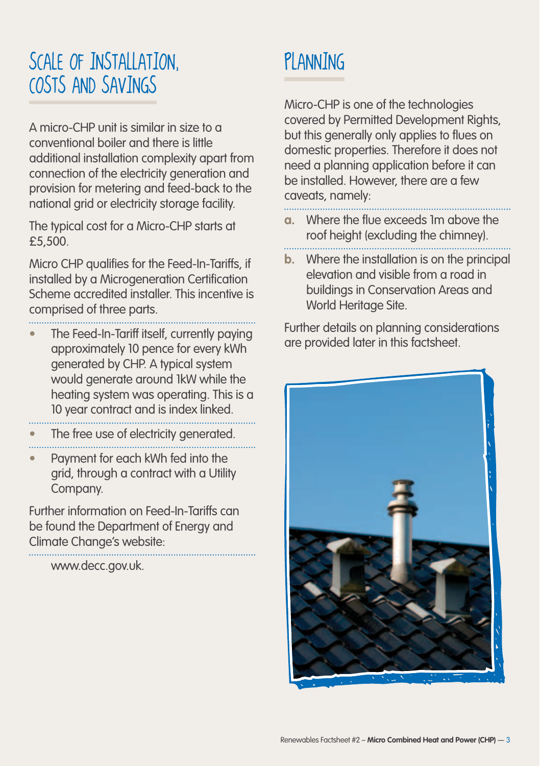### Scale of Installation, Costs and Savings

A micro-CHP unit is similar in size to a conventional boiler and there is little additional installation complexity apart from connection of the electricity generation and provision for metering and feed-back to the national grid or electricity storage facility.

The typical cost for a Micro-CHP starts at £5,500.

Micro CHP qualifies for the Feed-In-Tariffs, if installed by a Microgeneration Certification Scheme accredited installer. This incentive is comprised of three parts.

- **•** The Feed-In-Tariff itself, currently paying
- approximately 10 pence for every kWh generated by CHP. A typical system would generate around 1kW while the heating system was operating. This is a 10 year contract and is index linked.
- The free use of electricity generated.
- 
- **•** Payment for each kWh fed into the grid, through a contract with a Utility Company.

Further information on Feed-In-Tariffs can be found the Department of Energy and Climate Change's website:

www.decc.gov.uk.

## PI ANNING

Micro-CHP is one of the technologies covered by Permitted Development Rights, but this generally only applies to flues on domestic properties. Therefore it does not need a planning application before it can be installed. However, there are a few caveats, namely:

- **a.** Where the flue exceeds 1m above the roof height (excluding the chimney).
- **b.** Where the installation is on the principal elevation and visible from a road in buildings in Conservation Areas and World Heritage Site.

Further details on planning considerations are provided later in this factsheet.

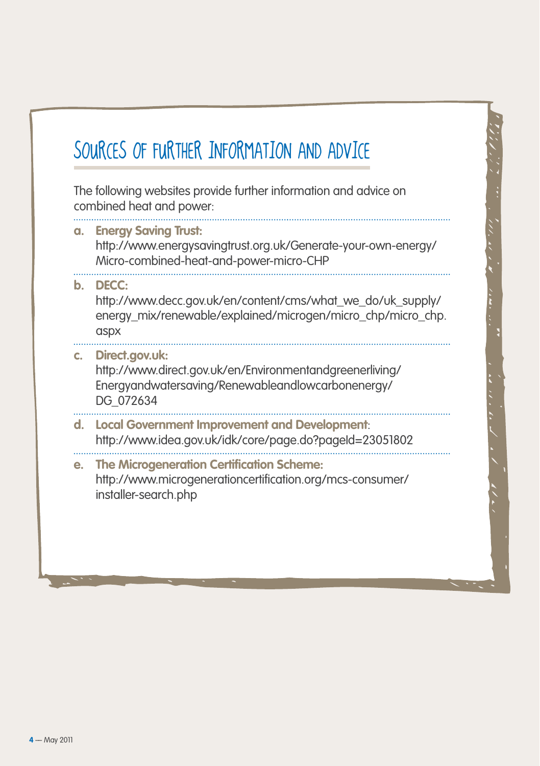### SOURCES OF FURTHER INFORMATION AND ADVICE

The following websites provide further information and advice on combined heat and power:

#### **a. Energy Saving Trust:**  http://www.energysavingtrust.org.uk/Generate-your-own-energy/ Micro-combined-heat-and-power-micro-CHP

#### **b. DECC:**

http://www.decc.gov.uk/en/content/cms/what\_we\_do/uk\_supply/ energy\_mix/renewable/explained/microgen/micro\_chp/micro\_chp. aspx

#### **c. Direct.gov.uk:**  http://www.direct.gov.uk/en/Environmentandgreenerliving/ Energyandwatersaving/Renewableandlowcarbonenergy/ DG\_072634

#### **d. Local Government Improvement and Development**: http://www.idea.gov.uk/idk/core/page.do?pageId=23051802

#### **e. The Microgeneration Certification Scheme:**  http://www.microgenerationcertification.org/mcs-consumer/ installer-search.php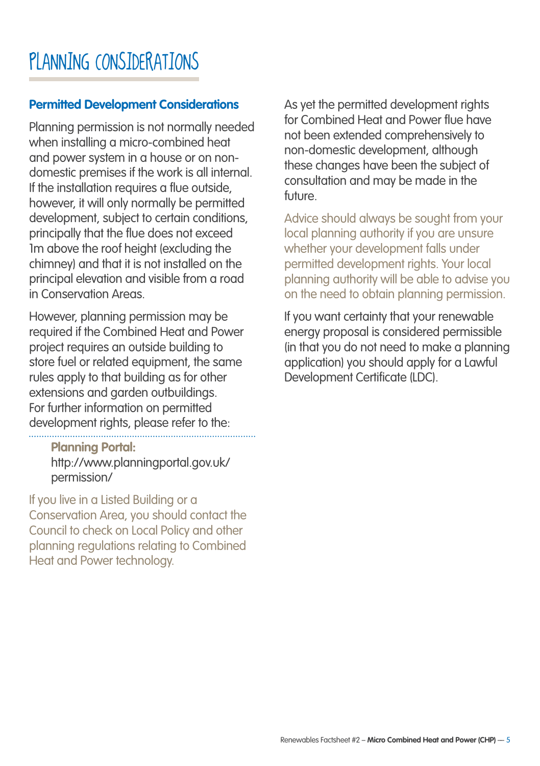### PLANNING CONSIDERATIONS

#### **Permitted Development Considerations**

Planning permission is not normally needed when installing a micro-combined heat and power system in a house or on nondomestic premises if the work is all internal. If the installation requires a flue outside, however, it will only normally be permitted development, subject to certain conditions, principally that the flue does not exceed 1m above the roof height (excluding the chimney) and that it is not installed on the principal elevation and visible from a road in Conservation Areas.

However, planning permission may be required if the Combined Heat and Power project requires an outside building to store fuel or related equipment, the same rules apply to that building as for other extensions and garden outbuildings. For further information on permitted development rights, please refer to the:

**Planning Portal:** http://www.planningportal.gov.uk/ permission/

If you live in a Listed Building or a Conservation Area, you should contact the Council to check on Local Policy and other planning regulations relating to Combined Heat and Power technology.

As yet the permitted development rights for Combined Heat and Power flue have not been extended comprehensively to non-domestic development, although these changes have been the subject of consultation and may be made in the future.

Advice should always be sought from your local planning authority if you are unsure whether your development falls under permitted development rights. Your local planning authority will be able to advise you on the need to obtain planning permission.

If you want certainty that your renewable energy proposal is considered permissible (in that you do not need to make a planning application) you should apply for a Lawful Development Certificate (LDC).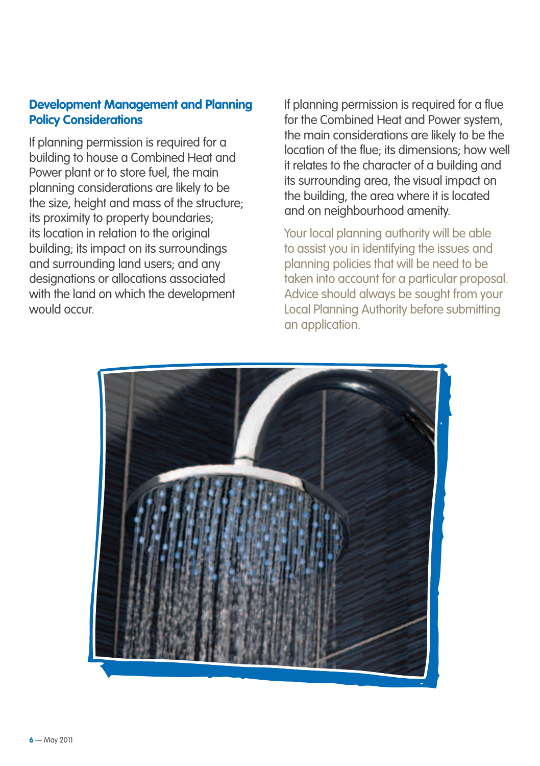#### **Development Management and Planning Policy Considerations**

If planning permission is required for a building to house a Combined Heat and Power plant or to store fuel, the main planning considerations are likely to be the size, height and mass of the structure; its proximity to property boundaries; its location in relation to the original building; its impact on its surroundings and surrounding land users; and any designations or allocations associated with the land on which the development would occur.

If planning permission is required for a flue for the Combined Heat and Power system, the main considerations are likely to be the location of the flue; its dimensions; how well it relates to the character of a building and its surrounding area, the visual impact on the building, the area where it is located and on neighbourhood amenity.

Your local planning authority will be able to assist you in identifying the issues and planning policies that will be need to be taken into account for a particular proposal. Advice should always be sought from your Local Planning Authority before submitting an application.

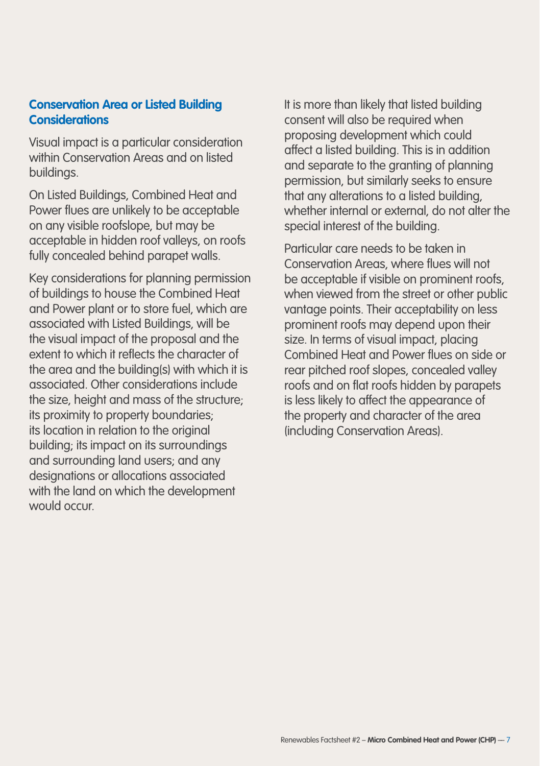#### **Conservation Area or Listed Building Considerations**

Visual impact is a particular consideration within Conservation Areas and on listed buildings.

On Listed Buildings, Combined Heat and Power flues are unlikely to be acceptable on any visible roofslope, but may be acceptable in hidden roof valleys, on roofs fully concealed behind parapet walls.

Key considerations for planning permission of buildings to house the Combined Heat and Power plant or to store fuel, which are associated with Listed Buildings, will be the visual impact of the proposal and the extent to which it reflects the character of the area and the building(s) with which it is associated. Other considerations include the size, height and mass of the structure: its proximity to property boundaries; its location in relation to the original building; its impact on its surroundings and surrounding land users; and any designations or allocations associated with the land on which the development would occur.

It is more than likely that listed building consent will also be required when proposing development which could affect a listed building. This is in addition and separate to the granting of planning permission, but similarly seeks to ensure that any alterations to a listed building, whether internal or external, do not alter the special interest of the building.

Particular care needs to be taken in Conservation Areas, where flues will not be acceptable if visible on prominent roofs, when viewed from the street or other public vantage points. Their acceptability on less prominent roofs may depend upon their size. In terms of visual impact, placing Combined Heat and Power flues on side or rear pitched roof slopes, concealed valley roofs and on flat roofs hidden by parapets is less likely to affect the appearance of the property and character of the area (including Conservation Areas).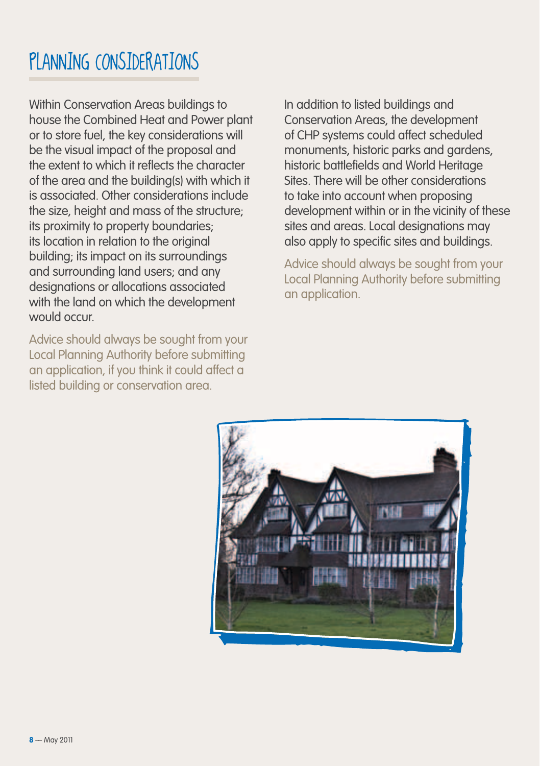### PLANNING CONSIDERATIONS

Within Conservation Areas buildings to house the Combined Heat and Power plant or to store fuel, the key considerations will be the visual impact of the proposal and the extent to which it reflects the character of the area and the building(s) with which it is associated. Other considerations include the size, height and mass of the structure; its proximity to property boundaries; its location in relation to the original building; its impact on its surroundings and surrounding land users; and any designations or allocations associated with the land on which the development would occur.

Advice should always be sought from your Local Planning Authority before submitting an application, if you think it could affect a listed building or conservation area.

In addition to listed buildings and Conservation Areas, the development of CHP systems could affect scheduled monuments, historic parks and gardens, historic battlefields and World Heritage Sites. There will be other considerations to take into account when proposing development within or in the vicinity of these sites and areas. Local designations may also apply to specific sites and buildings.

Advice should always be sought from your Local Planning Authority before submitting an application.

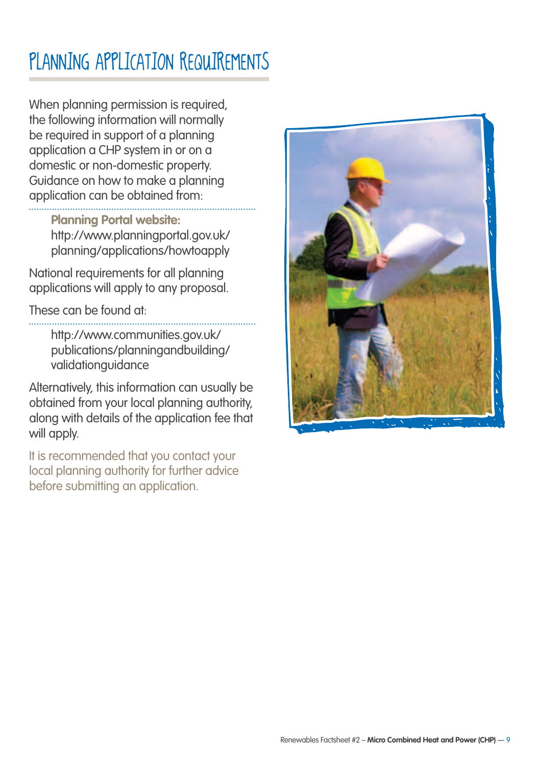### PLANNING APPLICATION REQUIREMENTS

When planning permission is required, the following information will normally be required in support of a planning application a CHP system in or on a domestic or non-domestic property. Guidance on how to make a planning application can be obtained from:

#### **Planning Portal website:**

http://www.planningportal.gov.uk/ planning/applications/howtoapply

National requirements for all planning applications will apply to any proposal.

These can be found at:

http://www.communities.gov.uk/ publications/planningandbuilding/ validationguidance

Alternatively, this information can usually be obtained from your local planning authority, along with details of the application fee that will apply.

It is recommended that you contact your local planning authority for further advice before submitting an application.

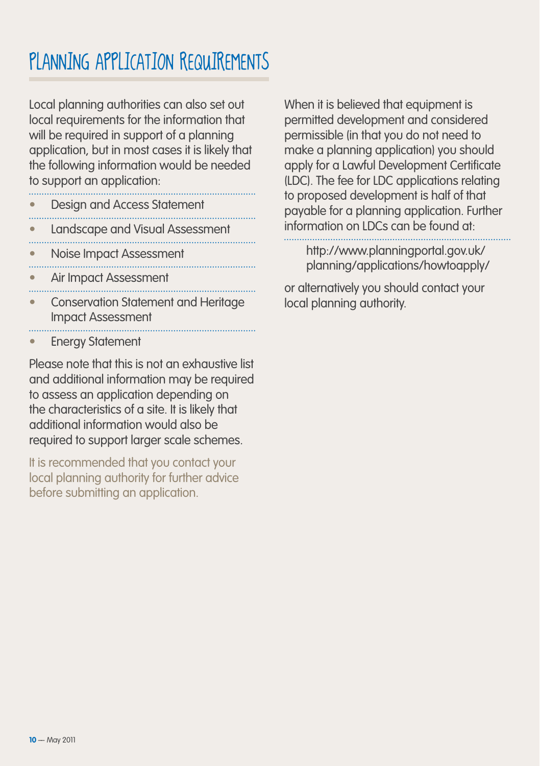### PLANNING APPLICATION REQUIREMENTS

Local planning authorities can also set out local requirements for the information that will be required in support of a planning application, but in most cases it is likely that the following information would be needed to support an application:

- 
- **•** Design and Access Statement
- **•** Landscape and Visual Assessment
- 
- **•** Noise Impact Assessment
- **•** Air Impact Assessment
- **•** Conservation Statement and Heritage Impact Assessment
- **•** Energy Statement

Please note that this is not an exhaustive list and additional information may be required to assess an application depending on the characteristics of a site. It is likely that additional information would also be required to support larger scale schemes.

It is recommended that you contact your local planning authority for further advice before submitting an application.

When it is believed that equipment is permitted development and considered permissible (in that you do not need to make a planning application) you should apply for a Lawful Development Certificate (LDC). The fee for LDC applications relating to proposed development is half of that payable for a planning application. Further information on LDCs can be found at:

http://www.planningportal.gov.uk/ planning/applications/howtoapply/

or alternatively you should contact your local planning authority.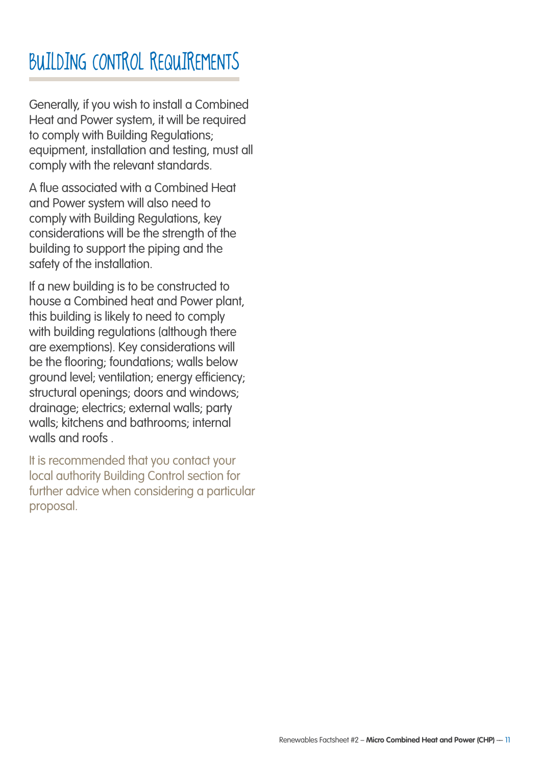### BUJIDING CONTROL REQUIREMENTS

Generally, if you wish to install a Combined Heat and Power system, it will be required to comply with Building Regulations; equipment, installation and testing, must all comply with the relevant standards.

A flue associated with a Combined Heat and Power system will also need to comply with Building Regulations, key considerations will be the strength of the building to support the piping and the safety of the installation.

If a new building is to be constructed to house a Combined heat and Power plant, this building is likely to need to comply with building regulations (although there are exemptions). Key considerations will be the flooring; foundations; walls below ground level; ventilation; energy efficiency; structural openings; doors and windows; drainage; electrics; external walls; party walls; kitchens and bathrooms; internal walls and roofs .

It is recommended that you contact your local authority Building Control section for further advice when considering a particular proposal.